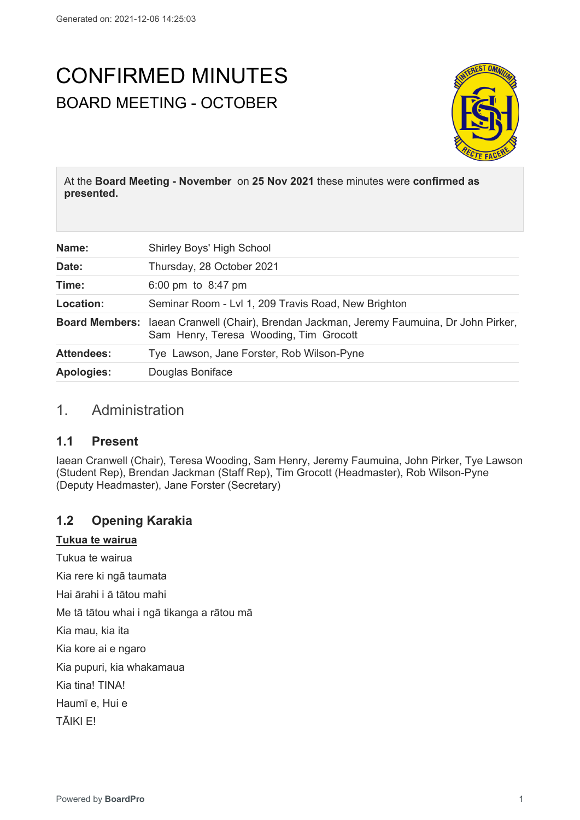# CONFIRMED MINUTES BOARD MEETING - OCTOBER



At the **Board Meeting - November** on **25 Nov 2021** these minutes were **confirmed as presented.**

| Name:             | Shirley Boys' High School                                                                                                          |
|-------------------|------------------------------------------------------------------------------------------------------------------------------------|
| Date:             | Thursday, 28 October 2021                                                                                                          |
| Time:             | 6:00 pm to $8:47$ pm                                                                                                               |
| Location:         | Seminar Room - Lvl 1, 209 Travis Road, New Brighton                                                                                |
|                   | Board Members: laean Cranwell (Chair), Brendan Jackman, Jeremy Faumuina, Dr John Pirker,<br>Sam Henry, Teresa Wooding, Tim Grocott |
| <b>Attendees:</b> | Tye Lawson, Jane Forster, Rob Wilson-Pyne                                                                                          |
| <b>Apologies:</b> | Douglas Boniface                                                                                                                   |

### 1. Administration

### **1.1 Present**

Iaean Cranwell (Chair), Teresa Wooding, Sam Henry, Jeremy Faumuina, John Pirker, Tye Lawson (Student Rep), Brendan Jackman (Staff Rep), Tim Grocott (Headmaster), Rob Wilson-Pyne (Deputy Headmaster), Jane Forster (Secretary)

### **1.2 Opening Karakia**

#### **Tukua te wairua**

Tukua te wairua

Kia rere ki ngā taumata

Hai ārahi i ā tātou mahi

Me tā tātou whai i ngā tikanga a rātou mā

Kia mau, kia ita

Kia kore ai e ngaro

Kia pupuri, kia whakamaua

Kia tina! TINA!

Haumī e, Hui e

TĀIKI E!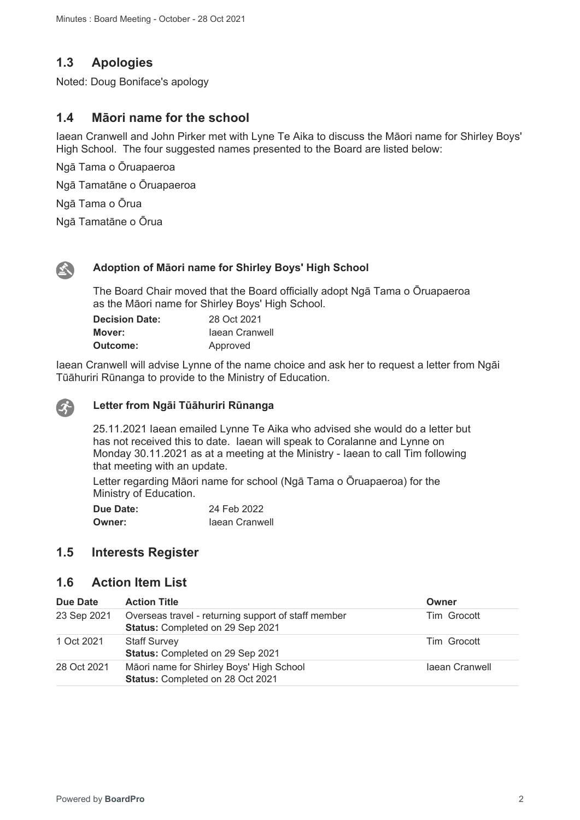### **1.3 Apologies**

Noted: Doug Boniface's apology

### **1.4 Māori name for the school**

Iaean Cranwell and John Pirker met with Lyne Te Aika to discuss the Māori name for Shirley Boys' High School. The four suggested names presented to the Board are listed below:

Ngā Tama o Ōruapaeroa

Ngā Tamatāne o Ōruapaeroa

Ngā Tama o Ōrua

Ngā Tamatāne o Ōrua



 $\mathcal{X}$ 

#### **Adoption of Māori name for Shirley Boys' High School**

The Board Chair moved that the Board officially adopt Ngā Tama o Ōruapaeroa as the Māori name for Shirley Boys' High School.

| <b>Decision Date:</b> | 28 Oct 2021    |
|-----------------------|----------------|
| Mover:                | laean Cranwell |
| <b>Outcome:</b>       | Approved       |

Iaean Cranwell will advise Lynne of the name choice and ask her to request a letter from Ngāi Tūāhuriri Rūnanga to provide to the Ministry of Education.

### **Letter from Ngāi Tūāhuriri Rūnanga**

25.11.2021 Iaean emailed Lynne Te Aika who advised she would do a letter but has not received this to date. Iaean will speak to Coralanne and Lynne on Monday 30.11.2021 as at a meeting at the Ministry - Iaean to call Tim following that meeting with an update.

Letter regarding Māori name for school (Ngā Tama o Ōruapaeroa) for the Ministry of Education.

**Due Date:** 24 Feb 2022 **Owner: Iaean Cranwell** 

### **1.5 Interests Register**

### **1.6 Action Item List**

| Due Date    | <b>Action Title</b>                                                                     | Owner          |
|-------------|-----------------------------------------------------------------------------------------|----------------|
| 23 Sep 2021 | Overseas travel - returning support of staff member<br>Status: Completed on 29 Sep 2021 | Tim Grocott    |
| 1 Oct 2021  | <b>Staff Survey</b><br>Status: Completed on 29 Sep 2021                                 | Tim Grocott    |
| 28 Oct 2021 | Māori name for Shirley Boys' High School<br>Status: Completed on 28 Oct 2021            | laean Cranwell |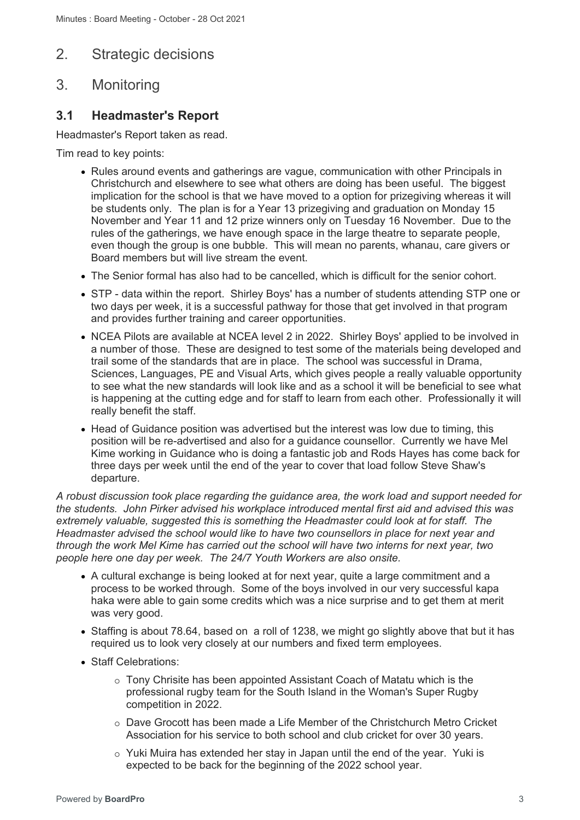### 2. Strategic decisions

## 3. Monitoring

### **3.1 Headmaster's Report**

Headmaster's Report taken as read.

Tim read to key points:

- Rules around events and gatherings are vague, communication with other Principals in Christchurch and elsewhere to see what others are doing has been useful. The biggest implication for the school is that we have moved to a option for prizegiving whereas it will be students only. The plan is for a Year 13 prizegiving and graduation on Monday 15 November and Year 11 and 12 prize winners only on Tuesday 16 November. Due to the rules of the gatherings, we have enough space in the large theatre to separate people, even though the group is one bubble. This will mean no parents, whanau, care givers or Board members but will live stream the event.
- The Senior formal has also had to be cancelled, which is difficult for the senior cohort.
- STP data within the report. Shirley Boys' has a number of students attending STP one or two days per week, it is a successful pathway for those that get involved in that program and provides further training and career opportunities.
- NCEA Pilots are available at NCEA level 2 in 2022. Shirley Boys' applied to be involved in a number of those. These are designed to test some of the materials being developed and trail some of the standards that are in place. The school was successful in Drama, Sciences, Languages, PE and Visual Arts, which gives people a really valuable opportunity to see what the new standards will look like and as a school it will be beneficial to see what is happening at the cutting edge and for staff to learn from each other. Professionally it will really benefit the staff.
- Head of Guidance position was advertised but the interest was low due to timing, this position will be re-advertised and also for a guidance counsellor. Currently we have Mel Kime working in Guidance who is doing a fantastic job and Rods Hayes has come back for three days per week until the end of the year to cover that load follow Steve Shaw's departure.

*A robust discussion took place regarding the guidance area, the work load and support needed for the students. John Pirker advised his workplace introduced mental first aid and advised this was extremely valuable, suggested this is something the Headmaster could look at for staff. The Headmaster advised the school would like to have two counsellors in place for next year and through the work Mel Kime has carried out the school will have two interns for next year, two people here one day per week. The 24/7 Youth Workers are also onsite.*

- A cultural exchange is being looked at for next year, quite a large commitment and a process to be worked through. Some of the boys involved in our very successful kapa haka were able to gain some credits which was a nice surprise and to get them at merit was very good.
- Staffing is about 78.64, based on a roll of 1238, we might go slightly above that but it has required us to look very closely at our numbers and fixed term employees.
- Staff Celebrations:
	- o Tony Chrisite has been appointed Assistant Coach of Matatu which is the professional rugby team for the South Island in the Woman's Super Rugby competition in 2022.
	- o Dave Grocott has been made a Life Member of the Christchurch Metro Cricket Association for his service to both school and club cricket for over 30 years.
	- o Yuki Muira has extended her stay in Japan until the end of the year. Yuki is expected to be back for the beginning of the 2022 school year.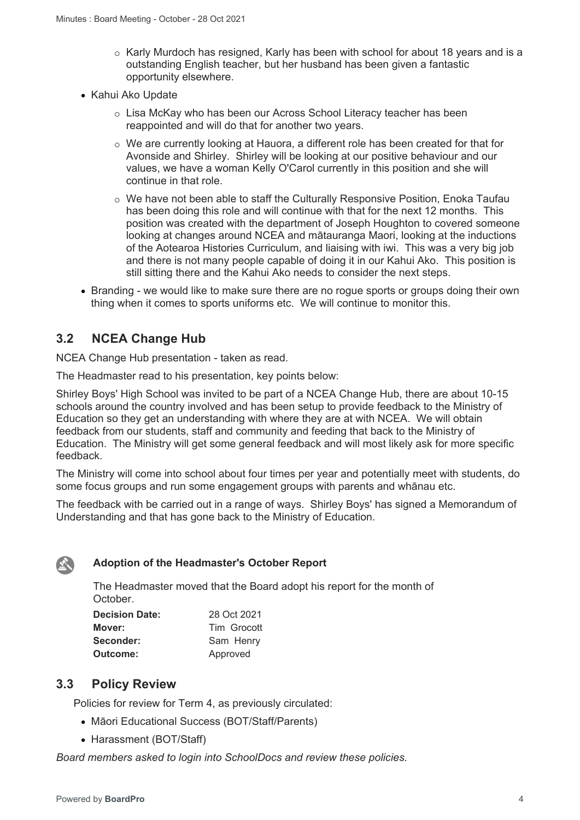- o Karly Murdoch has resigned, Karly has been with school for about 18 years and is a outstanding English teacher, but her husband has been given a fantastic opportunity elsewhere.
- Kahui Ako Update
	- o Lisa McKay who has been our Across School Literacy teacher has been reappointed and will do that for another two years.
	- o We are currently looking at Hauora, a different role has been created for that for Avonside and Shirley. Shirley will be looking at our positive behaviour and our values, we have a woman Kelly O'Carol currently in this position and she will continue in that role.
	- o We have not been able to staff the Culturally Responsive Position, Enoka Taufau has been doing this role and will continue with that for the next 12 months. This position was created with the department of Joseph Houghton to covered someone looking at changes around NCEA and mātauranga Maori, looking at the inductions of the Aotearoa Histories Curriculum, and liaising with iwi. This was a very big job and there is not many people capable of doing it in our Kahui Ako. This position is still sitting there and the Kahui Ako needs to consider the next steps.
- Branding we would like to make sure there are no rogue sports or groups doing their own thing when it comes to sports uniforms etc. We will continue to monitor this.

### **3.2 NCEA Change Hub**

NCEA Change Hub presentation - taken as read.

The Headmaster read to his presentation, key points below:

Shirley Boys' High School was invited to be part of a NCEA Change Hub, there are about 10-15 schools around the country involved and has been setup to provide feedback to the Ministry of Education so they get an understanding with where they are at with NCEA. We will obtain feedback from our students, staff and community and feeding that back to the Ministry of Education. The Ministry will get some general feedback and will most likely ask for more specific feedback.

The Ministry will come into school about four times per year and potentially meet with students, do some focus groups and run some engagement groups with parents and whānau etc.

The feedback with be carried out in a range of ways. Shirley Boys' has signed a Memorandum of Understanding and that has gone back to the Ministry of Education.

### **Adoption of the Headmaster's October Report**

The Headmaster moved that the Board adopt his report for the month of October.

| <b>Decision Date:</b> | 28 Oct 2021 |
|-----------------------|-------------|
| Mover:                | Tim Grocott |
| Seconder:             | Sam Henry   |
| Outcome:              | Approved    |

### **3.3 Policy Review**

 $\mathbf{X}$ 

Policies for review for Term 4, as previously circulated:

- Māori Educational Success (BOT/Staff/Parents)
- Harassment (BOT/Staff)

*Board members asked to login into SchoolDocs and review these policies.*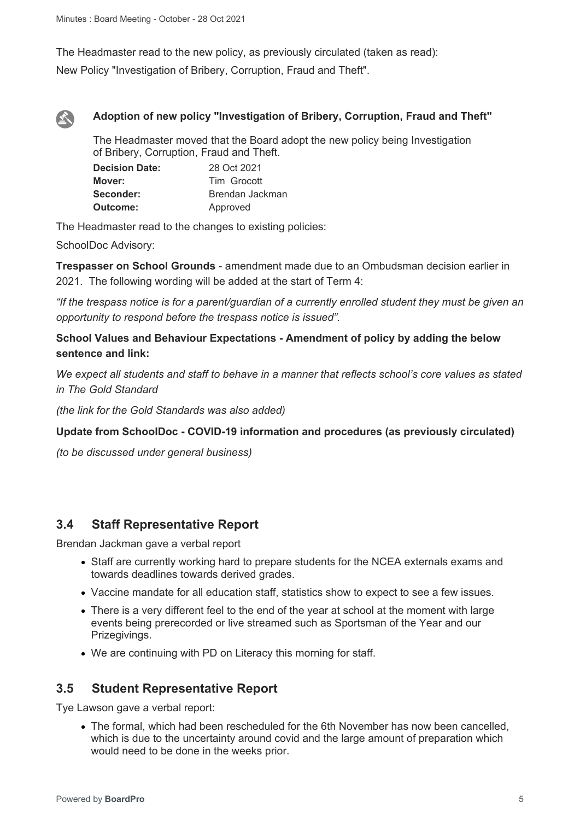The Headmaster read to the new policy, as previously circulated (taken as read): New Policy "Investigation of Bribery, Corruption, Fraud and Theft".



#### **Adoption of new policy "Investigation of Bribery, Corruption, Fraud and Theft"**

The Headmaster moved that the Board adopt the new policy being Investigation of Bribery, Corruption, Fraud and Theft.

| <b>Decision Date:</b> | 28 Oct 2021     |
|-----------------------|-----------------|
| Mover:                | Tim Grocott     |
| Seconder:             | Brendan Jackman |
| Outcome:              | Approved        |

The Headmaster read to the changes to existing policies:

SchoolDoc Advisory:

**Trespasser on School Grounds** - amendment made due to an Ombudsman decision earlier in 2021. The following wording will be added at the start of Term 4:

*"If the trespass notice is for a parent/guardian of a currently enrolled student they must be given an opportunity to respond before the trespass notice is issued".*

### **School Values and Behaviour Expectations - Amendment of policy by adding the below sentence and link:**

*We expect all students and staff to behave in a manner that reflects school's core values as stated in The Gold Standard* 

*(the link for the Gold Standards was also added)*

#### **Update from SchoolDoc - COVID-19 information and procedures (as previously circulated)**

*(to be discussed under general business)*

### **3.4 Staff Representative Report**

Brendan Jackman gave a verbal report

- Staff are currently working hard to prepare students for the NCEA externals exams and towards deadlines towards derived grades.
- Vaccine mandate for all education staff, statistics show to expect to see a few issues.
- There is a very different feel to the end of the year at school at the moment with large events being prerecorded or live streamed such as Sportsman of the Year and our Prizegivings.
- We are continuing with PD on Literacy this morning for staff.

### **3.5 Student Representative Report**

Tye Lawson gave a verbal report:

• The formal, which had been rescheduled for the 6th November has now been cancelled, which is due to the uncertainty around covid and the large amount of preparation which would need to be done in the weeks prior.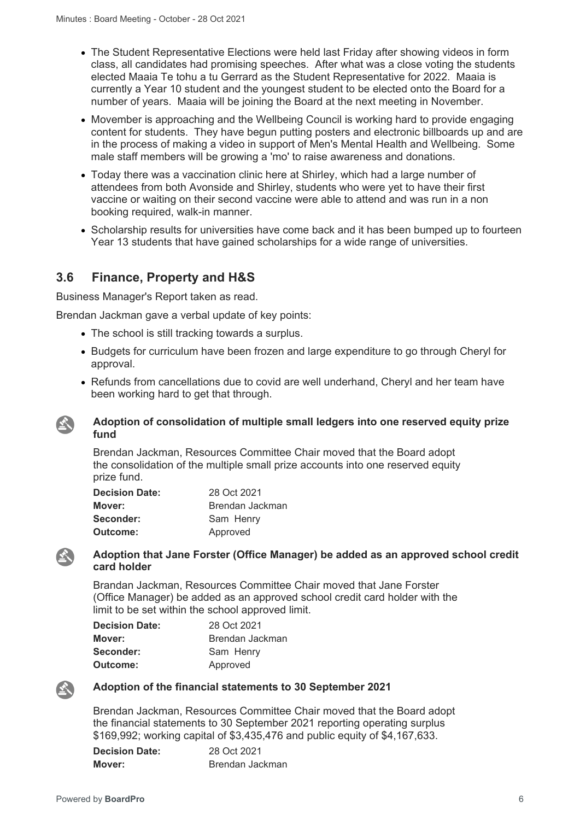- The Student Representative Elections were held last Friday after showing videos in form class, all candidates had promising speeches. After what was a close voting the students elected Maaia Te tohu a tu Gerrard as the Student Representative for 2022. Maaia is currently a Year 10 student and the youngest student to be elected onto the Board for a number of years. Maaia will be joining the Board at the next meeting in November.
- Movember is approaching and the Wellbeing Council is working hard to provide engaging content for students. They have begun putting posters and electronic billboards up and are in the process of making a video in support of Men's Mental Health and Wellbeing. Some male staff members will be growing a 'mo' to raise awareness and donations.
- Today there was a vaccination clinic here at Shirley, which had a large number of attendees from both Avonside and Shirley, students who were yet to have their first vaccine or waiting on their second vaccine were able to attend and was run in a non booking required, walk-in manner.
- Scholarship results for universities have come back and it has been bumped up to fourteen Year 13 students that have gained scholarships for a wide range of universities.

### **3.6 Finance, Property and H&S**

Business Manager's Report taken as read.

Brendan Jackman gave a verbal update of key points:

- The school is still tracking towards a surplus.
- Budgets for curriculum have been frozen and large expenditure to go through Cheryl for approval.
- Refunds from cancellations due to covid are well underhand, Cheryl and her team have been working hard to get that through.

#### **Adoption of consolidation of multiple small ledgers into one reserved equity prize fund**

Brendan Jackman, Resources Committee Chair moved that the Board adopt the consolidation of the multiple small prize accounts into one reserved equity prize fund.

| <b>Decision Date:</b> | 28 Oct 2021     |
|-----------------------|-----------------|
| Mover:                | Brendan Jackman |
| Seconder:             | Sam Henry       |
| Outcome:              | Approved        |

#### **Adoption that Jane Forster (Office Manager) be added as an approved school credit card holder**

Brandan Jackman, Resources Committee Chair moved that Jane Forster (Office Manager) be added as an approved school credit card holder with the limit to be set within the school approved limit.

| <b>Decision Date:</b> | 28 Oct 2021     |
|-----------------------|-----------------|
| Mover:                | Brendan Jackman |
| Seconder:             | Sam Henry       |
| Outcome:              | Approved        |



公

 $\mathbf{A}$ 

#### **Adoption of the financial statements to 30 September 2021**

Brendan Jackman, Resources Committee Chair moved that the Board adopt the financial statements to 30 September 2021 reporting operating surplus \$169,992; working capital of \$3,435,476 and public equity of \$4,167,633.

| <b>Decision Date:</b> | 28 Oct 2021     |
|-----------------------|-----------------|
| Mover:                | Brendan Jackman |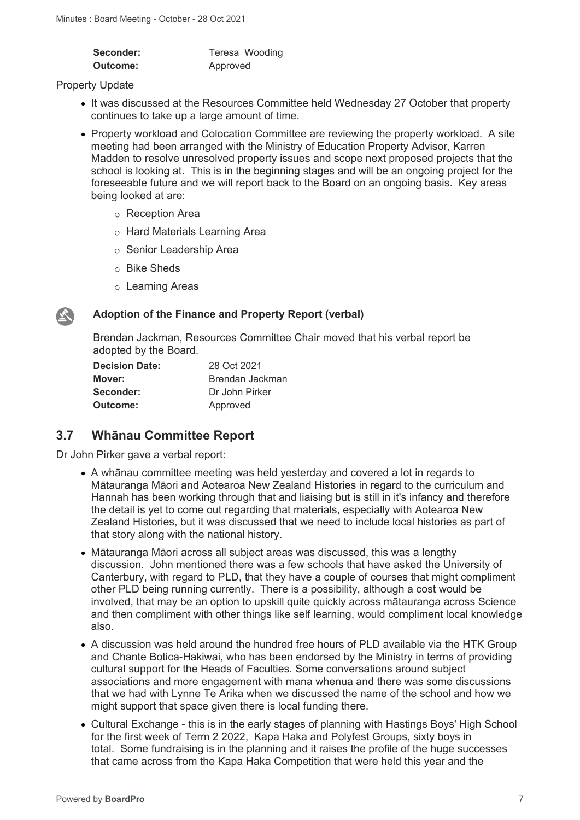| Seconder: | Teresa Wooding |
|-----------|----------------|
| Outcome:  | Approved       |

#### Property Update

- It was discussed at the Resources Committee held Wednesday 27 October that property continues to take up a large amount of time.
- Property workload and Colocation Committee are reviewing the property workload. A site meeting had been arranged with the Ministry of Education Property Advisor, Karren Madden to resolve unresolved property issues and scope next proposed projects that the school is looking at. This is in the beginning stages and will be an ongoing project for the foreseeable future and we will report back to the Board on an ongoing basis. Key areas being looked at are:
	- o Reception Area
	- o Hard Materials Learning Area
	- o Senior Leadership Area
	- o Bike Sheds
	- o Learning Areas



#### **Adoption of the Finance and Property Report (verbal)**

Brendan Jackman, Resources Committee Chair moved that his verbal report be adopted by the Board.

| <b>Decision Date:</b> | 28 Oct 2021     |
|-----------------------|-----------------|
| Mover:                | Brendan Jackman |
| Seconder:             | Dr John Pirker  |
| Outcome:              | Approved        |

### **3.7 Whānau Committee Report**

Dr John Pirker gave a verbal report:

- A whānau committee meeting was held yesterday and covered a lot in regards to Mātauranga Māori and Aotearoa New Zealand Histories in regard to the curriculum and Hannah has been working through that and liaising but is still in it's infancy and therefore the detail is yet to come out regarding that materials, especially with Aotearoa New Zealand Histories, but it was discussed that we need to include local histories as part of that story along with the national history.
- Mātauranga Māori across all subject areas was discussed, this was a lengthy discussion. John mentioned there was a few schools that have asked the University of Canterbury, with regard to PLD, that they have a couple of courses that might compliment other PLD being running currently. There is a possibility, although a cost would be involved, that may be an option to upskill quite quickly across mātauranga across Science and then compliment with other things like self learning, would compliment local knowledge also.
- A discussion was held around the hundred free hours of PLD available via the HTK Group and Chante Botica-Hakiwai, who has been endorsed by the Ministry in terms of providing cultural support for the Heads of Faculties. Some conversations around subject associations and more engagement with mana whenua and there was some discussions that we had with Lynne Te Arika when we discussed the name of the school and how we might support that space given there is local funding there.
- Cultural Exchange this is in the early stages of planning with Hastings Boys' High School for the first week of Term 2 2022, Kapa Haka and Polyfest Groups, sixty boys in total. Some fundraising is in the planning and it raises the profile of the huge successes that came across from the Kapa Haka Competition that were held this year and the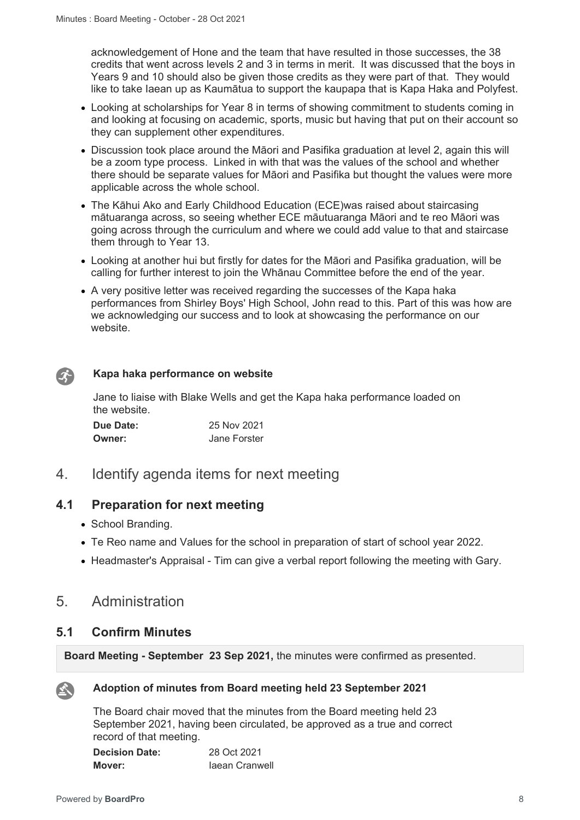acknowledgement of Hone and the team that have resulted in those successes, the 38 credits that went across levels 2 and 3 in terms in merit. It was discussed that the boys in Years 9 and 10 should also be given those credits as they were part of that. They would like to take Iaean up as Kaumātua to support the kaupapa that is Kapa Haka and Polyfest.

- Looking at scholarships for Year 8 in terms of showing commitment to students coming in and looking at focusing on academic, sports, music but having that put on their account so they can supplement other expenditures.
- Discussion took place around the Māori and Pasifika graduation at level 2, again this will be a zoom type process. Linked in with that was the values of the school and whether there should be separate values for Māori and Pasifika but thought the values were more applicable across the whole school.
- The Kāhui Ako and Early Childhood Education (ECE)was raised about staircasing mātuaranga across, so seeing whether ECE māutuaranga Māori and te reo Māori was going across through the curriculum and where we could add value to that and staircase them through to Year 13.
- Looking at another hui but firstly for dates for the Māori and Pasifika graduation, will be calling for further interest to join the Whānau Committee before the end of the year.
- A very positive letter was received regarding the successes of the Kapa haka performances from Shirley Boys' High School, John read to this. Part of this was how are we acknowledging our success and to look at showcasing the performance on our website.

#### **Kapa haka performance on website**

Jane to liaise with Blake Wells and get the Kapa haka performance loaded on the website.

| Due Date: | 25 Nov 2021  |
|-----------|--------------|
| Owner:    | Jane Forster |

### 4. Identify agenda items for next meeting

### **4.1 Preparation for next meeting**

- School Branding.
- Te Reo name and Values for the school in preparation of start of school year 2022.
- Headmaster's Appraisal Tim can give a verbal report following the meeting with Gary.

### 5. Administration

### **5.1 Confirm Minutes**

**Board Meeting - September 23 Sep 2021,** the minutes were confirmed as presented.



 $\mathcal{L}$ 

#### **Adoption of minutes from Board meeting held 23 September 2021**

The Board chair moved that the minutes from the Board meeting held 23 September 2021, having been circulated, be approved as a true and correct record of that meeting.

| <b>Decision Date:</b> | 28 Oct 2021    |
|-----------------------|----------------|
| Mover:                | Jaean Cranwell |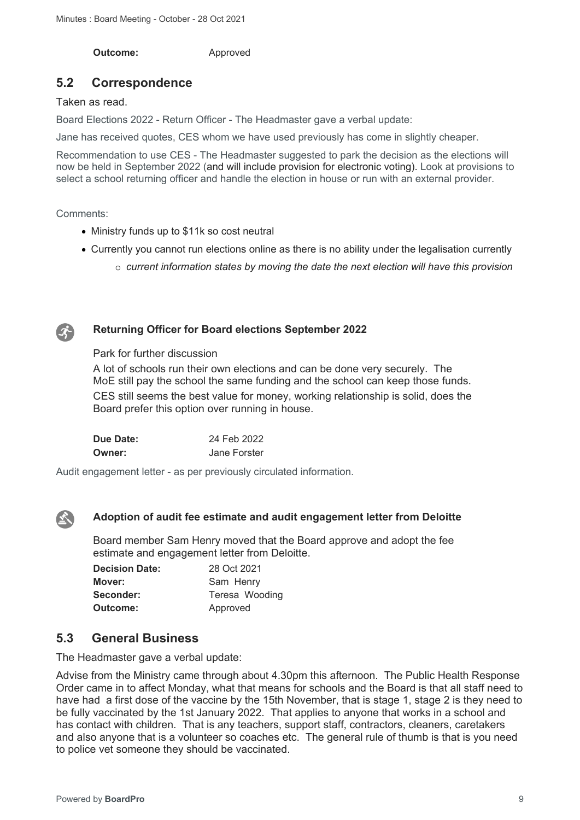**Outcome:** Approved

### **5.2 Correspondence**

Taken as read.

Board Elections 2022 - Return Officer - The Headmaster gave a verbal update:

Jane has received quotes, CES whom we have used previously has come in slightly cheaper.

Recommendation to use CES - The Headmaster suggested to park the decision as the elections will now be held in September 2022 (and will include provision for electronic voting). Look at provisions to select a school returning officer and handle the election in house or run with an external provider.

Comments:

- Ministry funds up to \$11k so cost neutral
- Currently you cannot run elections online as there is no ability under the legalisation currently
	- o *current information states by moving the date the next election will have this provision*



#### **Returning Officer for Board elections September 2022**

Park for further discussion

A lot of schools run their own elections and can be done very securely. The MoE still pay the school the same funding and the school can keep those funds. CES still seems the best value for money, working relationship is solid, does the Board prefer this option over running in house.

| <b>Due Date:</b> | 24 Feb 2022  |
|------------------|--------------|
| <b>Owner:</b>    | Jane Forster |

Audit engagement letter - as per previously circulated information.



#### **Adoption of audit fee estimate and audit engagement letter from Deloitte**

Board member Sam Henry moved that the Board approve and adopt the fee estimate and engagement letter from Deloitte.

| <b>Decision Date:</b> | 28 Oct 2021    |  |
|-----------------------|----------------|--|
| Mover:                | Sam Henry      |  |
| Seconder:             | Teresa Wooding |  |
| Outcome:              | Approved       |  |

### **5.3 General Business**

The Headmaster gave a verbal update:

Advise from the Ministry came through about 4.30pm this afternoon. The Public Health Response Order came in to affect Monday, what that means for schools and the Board is that all staff need to have had a first dose of the vaccine by the 15th November, that is stage 1, stage 2 is they need to be fully vaccinated by the 1st January 2022. That applies to anyone that works in a school and has contact with children. That is any teachers, support staff, contractors, cleaners, caretakers and also anyone that is a volunteer so coaches etc. The general rule of thumb is that is you need to police vet someone they should be vaccinated.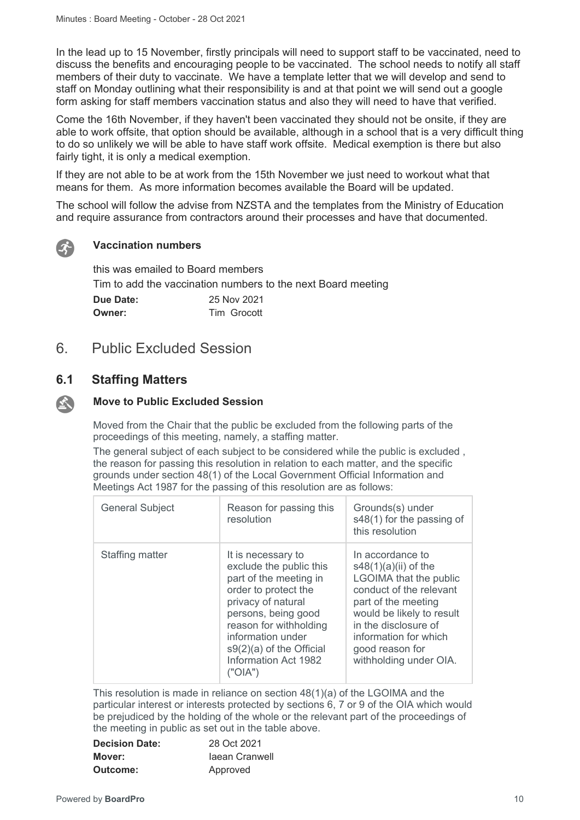In the lead up to 15 November, firstly principals will need to support staff to be vaccinated, need to discuss the benefits and encouraging people to be vaccinated. The school needs to notify all staff members of their duty to vaccinate. We have a template letter that we will develop and send to staff on Monday outlining what their responsibility is and at that point we will send out a google form asking for staff members vaccination status and also they will need to have that verified.

Come the 16th November, if they haven't been vaccinated they should not be onsite, if they are able to work offsite, that option should be available, although in a school that is a very difficult thing to do so unlikely we will be able to have staff work offsite. Medical exemption is there but also fairly tight, it is only a medical exemption.

If they are not able to be at work from the 15th November we just need to workout what that means for them. As more information becomes available the Board will be updated.

The school will follow the advise from NZSTA and the templates from the Ministry of Education and require assurance from contractors around their processes and have that documented.



#### **Vaccination numbers**

this was emailed to Board members Tim to add the vaccination numbers to the next Board meeting **Due Date:** 25 Nov 2021 **Owner:** Tim Grocott

### 6. Public Excluded Session

### **6.1 Staffing Matters**

#### **Move to Public Excluded Session SET**

Moved from the Chair that the public be excluded from the following parts of the proceedings of this meeting, namely, a staffing matter.

The general subject of each subject to be considered while the public is excluded , the reason for passing this resolution in relation to each matter, and the specific grounds under section 48(1) of the Local Government Official Information and Meetings Act 1987 for the passing of this resolution are as follows:

| <b>General Subject</b> | Reason for passing this<br>resolution                                                                                                                                                                                                                        | Grounds(s) under<br>s48(1) for the passing of<br>this resolution                                                                                                                                                                                  |
|------------------------|--------------------------------------------------------------------------------------------------------------------------------------------------------------------------------------------------------------------------------------------------------------|---------------------------------------------------------------------------------------------------------------------------------------------------------------------------------------------------------------------------------------------------|
| Staffing matter        | It is necessary to<br>exclude the public this<br>part of the meeting in<br>order to protect the<br>privacy of natural<br>persons, being good<br>reason for withholding<br>information under<br>$s9(2)(a)$ of the Official<br>Information Act 1982<br>("OIA") | In accordance to<br>$s48(1)(a)(ii)$ of the<br>LGOIMA that the public<br>conduct of the relevant<br>part of the meeting<br>would be likely to result<br>in the disclosure of<br>information for which<br>good reason for<br>withholding under OIA. |

This resolution is made in reliance on section 48(1)(a) of the LGOIMA and the particular interest or interests protected by sections 6, 7 or 9 of the OIA which would be prejudiced by the holding of the whole or the relevant part of the proceedings of the meeting in public as set out in the table above.

| <b>Decision Date:</b> | 28 Oct 2021    |  |
|-----------------------|----------------|--|
| Mover:                | laean Cranwell |  |
| Outcome:              | Approved       |  |